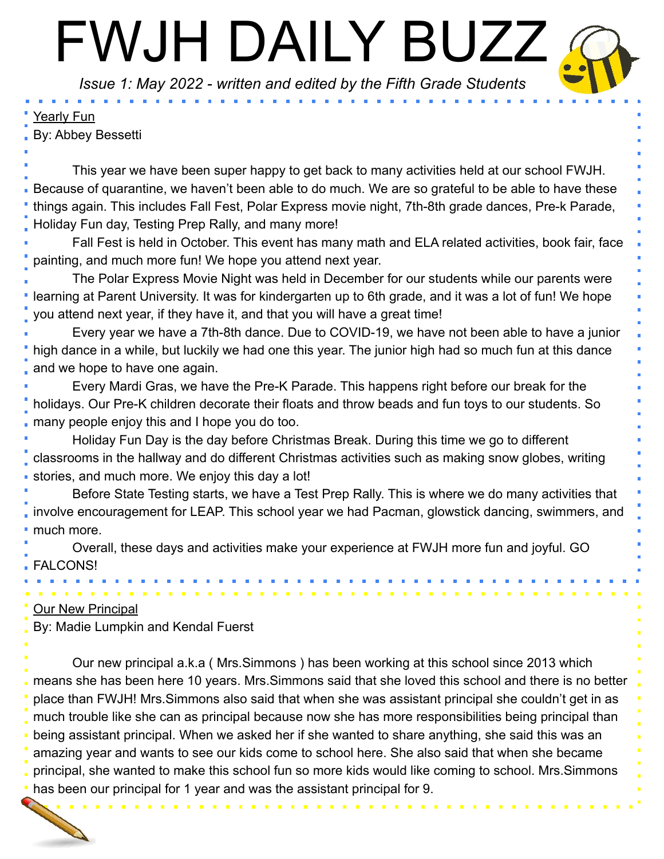# FWJH DAILY BUZZ

*Issue 1: May 2022 - written and edited by the Fifth Grade Students*

#### Yearly Fun

By: Abbey Bessetti

This year we have been super happy to get back to many activities held at our school FWJH. Because of quarantine, we haven't been able to do much. We are so grateful to be able to have these things again. This includes Fall Fest, Polar Express movie night, 7th-8th grade dances, Pre-k Parade, Holiday Fun day, Testing Prep Rally, and many more!

Fall Fest is held in October. This event has many math and ELA related activities, book fair, face painting, and much more fun! We hope you attend next year.

The Polar Express Movie Night was held in December for our students while our parents were learning at Parent University. It was for kindergarten up to 6th grade, and it was a lot of fun! We hope you attend next year, if they have it, and that you will have a great time!

Every year we have a 7th-8th dance. Due to COVID-19, we have not been able to have a junior high dance in a while, but luckily we had one this year. The junior high had so much fun at this dance and we hope to have one again.

Every Mardi Gras, we have the Pre-K Parade. This happens right before our break for the holidays. Our Pre-K children decorate their floats and throw beads and fun toys to our students. So many people enjoy this and I hope you do too.

Holiday Fun Day is the day before Christmas Break. During this time we go to different classrooms in the hallway and do different Christmas activities such as making snow globes, writing stories, and much more. We enjoy this day a lot!

Before State Testing starts, we have a Test Prep Rally. This is where we do many activities that involve encouragement for LEAP. This school year we had Pacman, glowstick dancing, swimmers, and much more.

Overall, these days and activities make your experience at FWJH more fun and joyful. GO FALCONS!

#### Our New Principal

By: Madie Lumpkin and Kendal Fuerst

Our new principal a.k.a ( Mrs.Simmons ) has been working at this school since 2013 which means she has been here 10 years. Mrs.Simmons said that she loved this school and there is no better place than FWJH! Mrs.Simmons also said that when she was assistant principal she couldn't get in as much trouble like she can as principal because now she has more responsibilities being principal than being assistant principal. When we asked her if she wanted to share anything, she said this was an amazing year and wants to see our kids come to school here. She also said that when she became principal, she wanted to make this school fun so more kids would like coming to school. Mrs.Simmons has been our principal for 1 year and was the assistant principal for 9.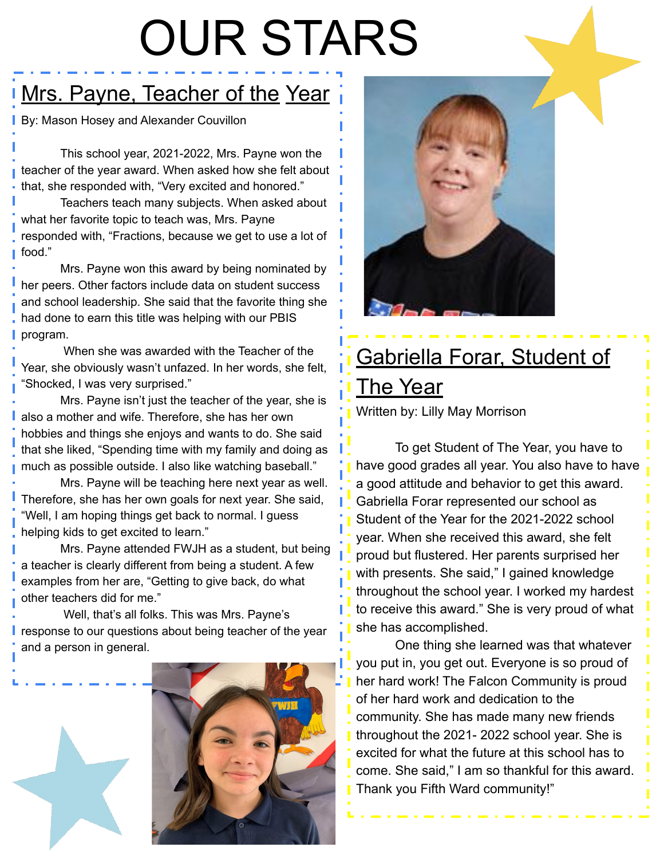## OUR STARS

### Mrs. Payne, Teacher of the Year

By: Mason Hosey and Alexander Couvillon

This school year, 2021-2022, Mrs. Payne won the teacher of the year award. When asked how she felt about that, she responded with, "Very excited and honored."

Teachers teach many subjects. When asked about what her favorite topic to teach was, Mrs. Payne responded with, "Fractions, because we get to use a lot of food."

Mrs. Payne won this award by being nominated by her peers. Other factors include data on student success and school leadership. She said that the favorite thing she had done to earn this title was helping with our PBIS program.

 When she was awarded with the Teacher of the Year, she obviously wasn't unfazed. In her words, she felt, "Shocked, I was very surprised."

Mrs. Payne isn't just the teacher of the year, she is also a mother and wife. Therefore, she has her own hobbies and things she enjoys and wants to do. She said that she liked, "Spending time with my family and doing as much as possible outside. I also like watching baseball."

Mrs. Payne will be teaching here next year as well. Therefore, she has her own goals for next year. She said, "Well, I am hoping things get back to normal. I guess helping kids to get excited to learn."

Mrs. Payne attended FWJH as a student, but being a teacher is clearly different from being a student. A few examples from her are, "Getting to give back, do what other teachers did for me."

 Well, that's all folks. This was Mrs. Payne's response to our questions about being teacher of the year and a person in general.





### Gabriella Forar, Student of The Year

Written by: Lilly May Morrison

To get Student of The Year, you have to have good grades all year. You also have to have a good attitude and behavior to get this award. Gabriella Forar represented our school as Student of the Year for the 2021-2022 school year. When she received this award, she felt proud but flustered. Her parents surprised her with presents. She said," I gained knowledge throughout the school year. I worked my hardest to receive this award." She is very proud of what she has accomplished.

One thing she learned was that whatever you put in, you get out. Everyone is so proud of her hard work! The Falcon Community is proud of her hard work and dedication to the community. She has made many new friends throughout the 2021- 2022 school year. She is excited for what the future at this school has to come. She said," I am so thankful for this award. Thank you Fifth Ward community!"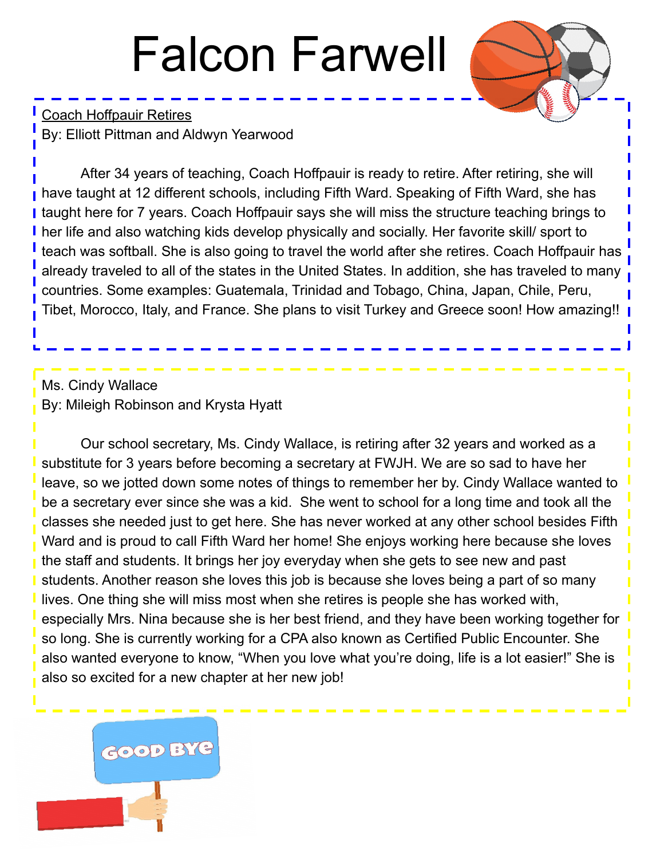### Falcon Farwell

Coach Hoffpauir Retires By: Elliott Pittman and Aldwyn Yearwood

After 34 years of teaching, Coach Hoffpauir is ready to retire. After retiring, she will have taught at 12 different schools, including Fifth Ward. Speaking of Fifth Ward, she has I taught here for 7 years. Coach Hoffpauir says she will miss the structure teaching brings to her life and also watching kids develop physically and socially. Her favorite skill/ sport to teach was softball. She is also going to travel the world after she retires. Coach Hoffpauir has already traveled to all of the states in the United States. In addition, she has traveled to many countries. Some examples: Guatemala, Trinidad and Tobago, China, Japan, Chile, Peru, Tibet, Morocco, Italy, and France. She plans to visit Turkey and Greece soon! How amazing!!

#### Ms. Cindy Wallace By: Mileigh Robinson and Krysta Hyatt

Our school secretary, Ms. Cindy Wallace, is retiring after 32 years and worked as a substitute for 3 years before becoming a secretary at FWJH. We are so sad to have her leave, so we jotted down some notes of things to remember her by. Cindy Wallace wanted to be a secretary ever since she was a kid. She went to school for a long time and took all the classes she needed just to get here. She has never worked at any other school besides Fifth Ward and is proud to call Fifth Ward her home! She enjoys working here because she loves the staff and students. It brings her joy everyday when she gets to see new and past students. Another reason she loves this job is because she loves being a part of so many lives. One thing she will miss most when she retires is people she has worked with, especially Mrs. Nina because she is her best friend, and they have been working together for so long. She is currently working for a CPA also known as Certified Public Encounter. She also wanted everyone to know, "When you love what you're doing, life is a lot easier!" She is also so excited for a new chapter at her new job!

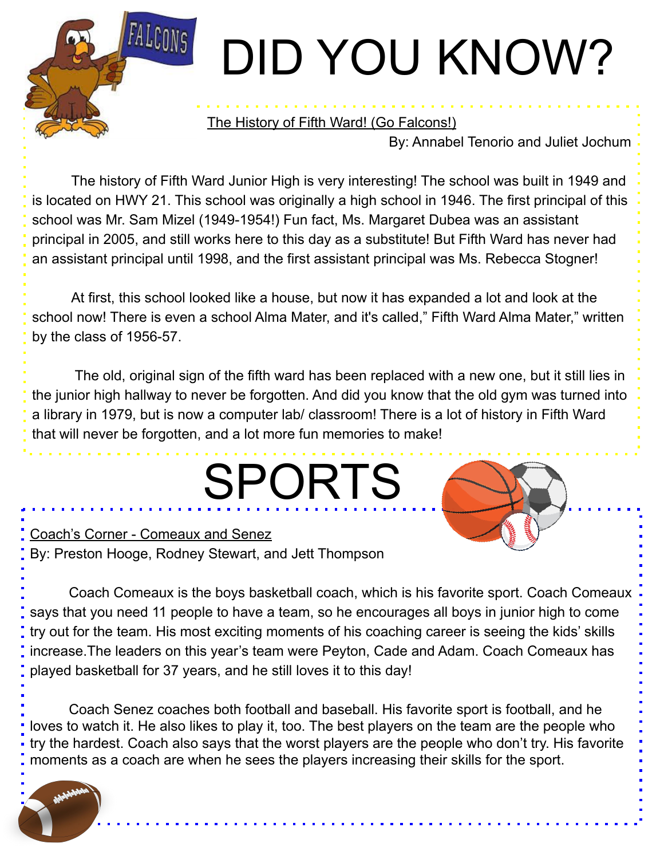# DID YOU KNOW?

#### The History of Fifth Ward! (Go Falcons!)

By: Annabel Tenorio and Juliet Jochum

The history of Fifth Ward Junior High is very interesting! The school was built in 1949 and is located on HWY 21. This school was originally a high school in 1946. The first principal of this school was Mr. Sam Mizel (1949-1954!) Fun fact, Ms. Margaret Dubea was an assistant principal in 2005, and still works here to this day as a substitute! But Fifth Ward has never had an assistant principal until 1998, and the first assistant principal was Ms. Rebecca Stogner!

At first, this school looked like a house, but now it has expanded a lot and look at the school now! There is even a school Alma Mater, and it's called," Fifth Ward Alma Mater," written by the class of 1956-57.

 The old, original sign of the fifth ward has been replaced with a new one, but it still lies in the junior high hallway to never be forgotten. And did you know that the old gym was turned into a library in 1979, but is now a computer lab/ classroom! There is a lot of history in Fifth Ward that will never be forgotten, and a lot more fun memories to make!

SPORTS

Coach's Corner - Comeaux and Senez By: Preston Hooge, Rodney Stewart, and Jett Thompson

**FALCONS** 

Coach Comeaux is the boys basketball coach, which is his favorite sport. Coach Comeaux says that you need 11 people to have a team, so he encourages all boys in junior high to come try out for the team. His most exciting moments of his coaching career is seeing the kids' skills increase.The leaders on this year's team were Peyton, Cade and Adam. Coach Comeaux has played basketball for 37 years, and he still loves it to this day!

Coach Senez coaches both football and baseball. His favorite sport is football, and he loves to watch it. He also likes to play it, too. The best players on the team are the people who try the hardest. Coach also says that the worst players are the people who don't try. His favorite moments as a coach are when he sees the players increasing their skills for the sport.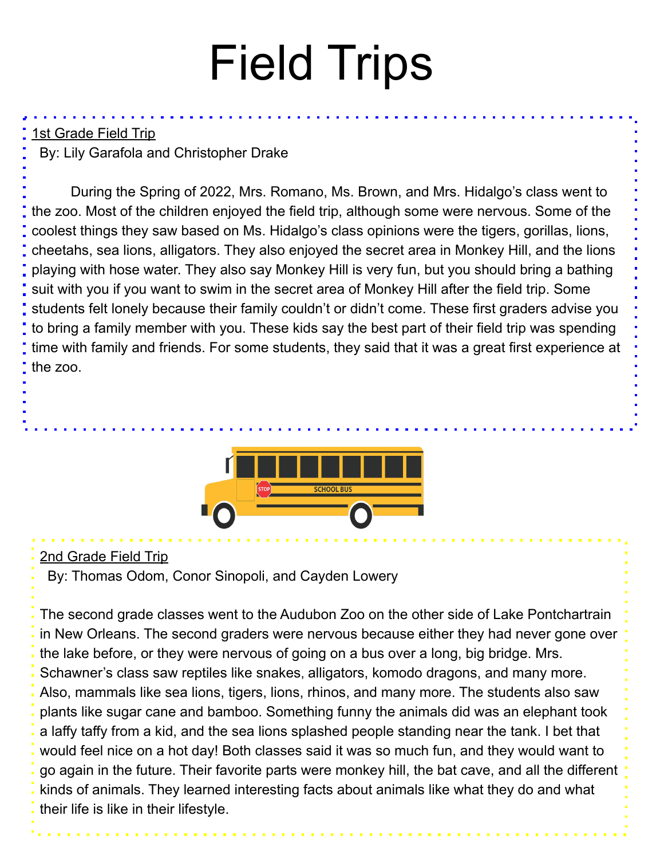### Field Trips

#### 1st Grade Field Trip

By: Lily Garafola and Christopher Drake

During the Spring of 2022, Mrs. Romano, Ms. Brown, and Mrs. Hidalgo's class went to the zoo. Most of the children enjoyed the field trip, although some were nervous. Some of the coolest things they saw based on Ms. Hidalgo's class opinions were the tigers, gorillas, lions, cheetahs, sea lions, alligators. They also enjoyed the secret area in Monkey Hill, and the lions playing with hose water. They also say Monkey Hill is very fun, but you should bring a bathing suit with you if you want to swim in the secret area of Monkey Hill after the field trip. Some students felt lonely because their family couldn't or didn't come. These first graders advise you to bring a family member with you. These kids say the best part of their field trip was spending time with family and friends. For some students, they said that it was a great first experience at the zoo.



#### 2nd Grade Field Trip

By: Thomas Odom, Conor Sinopoli, and Cayden Lowery

The second grade classes went to the Audubon Zoo on the other side of Lake Pontchartrain in New Orleans. The second graders were nervous because either they had never gone over the lake before, or they were nervous of going on a bus over a long, big bridge. Mrs. Schawner's class saw reptiles like snakes, alligators, komodo dragons, and many more. Also, mammals like sea lions, tigers, lions, rhinos, and many more. The students also saw plants like sugar cane and bamboo. Something funny the animals did was an elephant took a laffy taffy from a kid, and the sea lions splashed people standing near the tank. I bet that would feel nice on a hot day! Both classes said it was so much fun, and they would want to go again in the future. Their favorite parts were monkey hill, the bat cave, and all the different kinds of animals. They learned interesting facts about animals like what they do and what their life is like in their lifestyle.